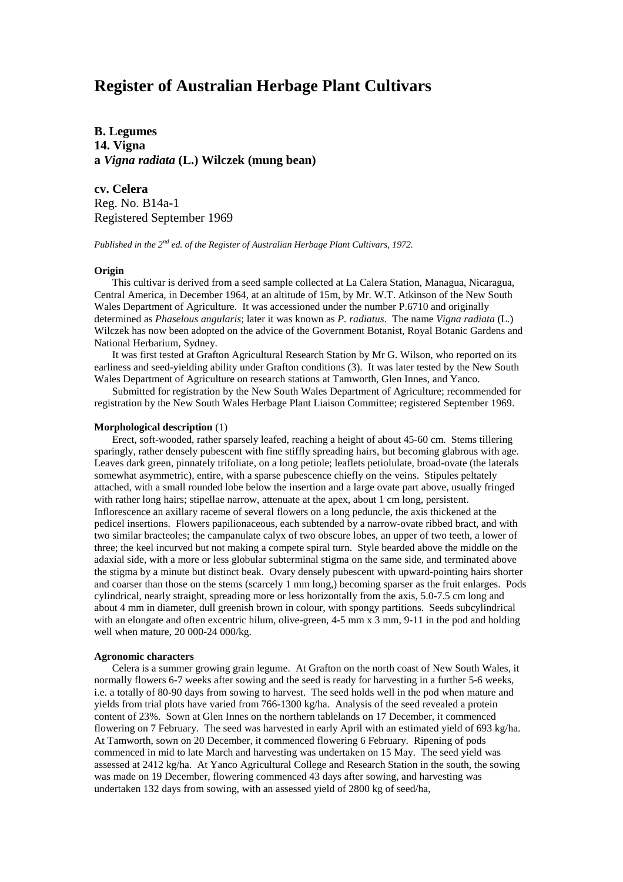# **Register of Australian Herbage Plant Cultivars**

**B. Legumes 14. Vigna a** *Vigna radiata* **(L.) Wilczek (mung bean)**

**cv. Celera** Reg. No. B14a-1 Registered September 1969

*Published in the 2nd ed. of the Register of Australian Herbage Plant Cultivars, 1972.*

# **Origin**

This cultivar is derived from a seed sample collected at La Calera Station, Managua, Nicaragua, Central America, in December 1964, at an altitude of 15m, by Mr. W.T. Atkinson of the New South Wales Department of Agriculture. It was accessioned under the number P.6710 and originally determined as *Phaselous angularis*; later it was known as *P. radiatus*. The name *Vigna radiata* (L.) Wilczek has now been adopted on the advice of the Government Botanist, Royal Botanic Gardens and National Herbarium, Sydney.

It was first tested at Grafton Agricultural Research Station by Mr G. Wilson, who reported on its earliness and seed-yielding ability under Grafton conditions (3). It was later tested by the New South Wales Department of Agriculture on research stations at Tamworth, Glen Innes, and Yanco.

Submitted for registration by the New South Wales Department of Agriculture; recommended for registration by the New South Wales Herbage Plant Liaison Committee; registered September 1969.

## **Morphological description** (1)

Erect, soft-wooded, rather sparsely leafed, reaching a height of about 45-60 cm. Stems tillering sparingly, rather densely pubescent with fine stiffly spreading hairs, but becoming glabrous with age. Leaves dark green, pinnately trifoliate, on a long petiole; leaflets petiolulate, broad-ovate (the laterals somewhat asymmetric), entire, with a sparse pubescence chiefly on the veins. Stipules peltately attached, with a small rounded lobe below the insertion and a large ovate part above, usually fringed with rather long hairs; stipellae narrow, attenuate at the apex, about 1 cm long, persistent. Inflorescence an axillary raceme of several flowers on a long peduncle, the axis thickened at the pedicel insertions. Flowers papilionaceous, each subtended by a narrow-ovate ribbed bract, and with two similar bracteoles; the campanulate calyx of two obscure lobes, an upper of two teeth, a lower of three; the keel incurved but not making a compete spiral turn. Style bearded above the middle on the adaxial side, with a more or less globular subterminal stigma on the same side, and terminated above the stigma by a minute but distinct beak. Ovary densely pubescent with upward-pointing hairs shorter and coarser than those on the stems (scarcely 1 mm long,) becoming sparser as the fruit enlarges. Pods cylindrical, nearly straight, spreading more or less horizontally from the axis, 5.0-7.5 cm long and about 4 mm in diameter, dull greenish brown in colour, with spongy partitions. Seeds subcylindrical with an elongate and often excentric hilum, olive-green, 4-5 mm x 3 mm, 9-11 in the pod and holding well when mature, 20 000-24 000/kg.

#### **Agronomic characters**

Celera is a summer growing grain legume. At Grafton on the north coast of New South Wales, it normally flowers 6-7 weeks after sowing and the seed is ready for harvesting in a further 5-6 weeks, i.e. a totally of 80-90 days from sowing to harvest. The seed holds well in the pod when mature and yields from trial plots have varied from 766-1300 kg/ha. Analysis of the seed revealed a protein content of 23%. Sown at Glen Innes on the northern tablelands on 17 December, it commenced flowering on 7 February. The seed was harvested in early April with an estimated yield of 693 kg/ha. At Tamworth, sown on 20 December, it commenced flowering 6 February. Ripening of pods commenced in mid to late March and harvesting was undertaken on 15 May. The seed yield was assessed at 2412 kg/ha. At Yanco Agricultural College and Research Station in the south, the sowing was made on 19 December, flowering commenced 43 days after sowing, and harvesting was undertaken 132 days from sowing, with an assessed yield of 2800 kg of seed/ha,